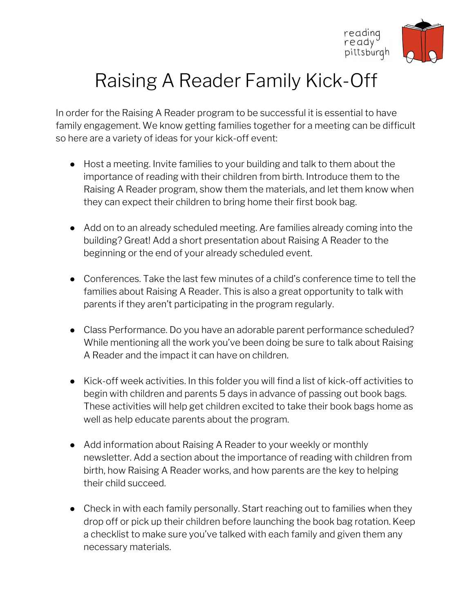

## Raising A Reader Family Kick-Off

In order for the Raising A Reader program to be successful it is essential to have family engagement. We know getting families together for a meeting can be difficult so here are a variety of ideas for your kick-off event:

- **●** Host a meeting. Invite families to your building and talk to them about the importance of reading with their children from birth. Introduce them to the Raising A Reader program, show them the materials, and let them know when they can expect their children to bring home their first book bag.
- **●** Add on to an already scheduled meeting. Are families already coming into the building? Great! Add a short presentation about Raising A Reader to the beginning or the end of your already scheduled event.
- **●** Conferences. Take the last few minutes of a child's conference time to tell the families about Raising A Reader. This is also a great opportunity to talk with parents if they aren't participating in the program regularly.
- **●** Class Performance. Do you have an adorable parent performance scheduled? While mentioning all the work you've been doing be sure to talk about Raising A Reader and the impact it can have on children.
- **●** Kick-off week activities. In this folder you will find a list of kick-off activities to begin with children and parents 5 days in advance of passing out book bags. These activities will help get children excited to take their book bags home as well as help educate parents about the program.
- **●** Add information about Raising A Reader to your weekly or monthly newsletter. Add a section about the importance of reading with children from birth, how Raising A Reader works, and how parents are the key to helping their child succeed.
- **●** Check in with each family personally. Start reaching out to families when they drop off or pick up their children before launching the book bag rotation. Keep a checklist to make sure you've talked with each family and given them any necessary materials.